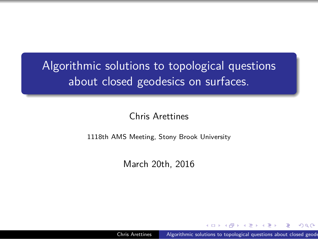Algorithmic solutions to topological questions about closed geodesics on surfaces.

Chris Arettines

1118th AMS Meeting, Stony Brook University

March 20th, 2016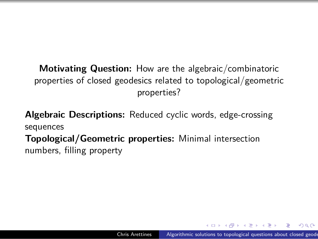**Motivating Question:** How are the algebraic/combinatoric properties of closed geodesics related to topological/geometric properties?

**Algebraic Descriptions:** Reduced cyclic words, edge-crossing sequences **Topological/Geometric properties:** Minimal intersection numbers, filling property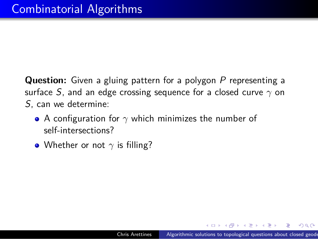## Combinatorial Algorithms

Question: Given a gluing pattern for a polygon P representing a surface S, and an edge crossing sequence for a closed curve *γ* on S, can we determine:

- A configuration for *γ* which minimizes the number of self-intersections?
- Whether or not  $\gamma$  is filling?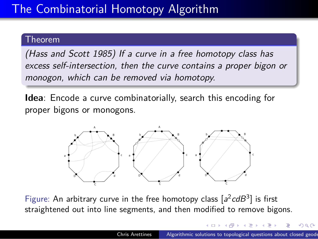## The Combinatorial Homotopy Algorithm

### Theorem

(Hass and Scott 1985) If a curve in a free homotopy class has excess self-intersection, then the curve contains a proper bigon or monogon, which can be removed via homotopy.

**Idea**: Encode a curve combinatorially, search this encoding for proper bigons or monogons.



Figure: An arbitrary curve in the free homotopy class  $[a^2cdB^3]$  is first straightened out into line segments, and then modified to remove bigons.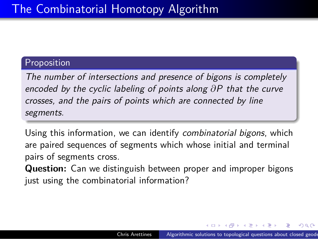### The Combinatorial Homotopy Algorithm

### Proposition

The number of intersections and presence of bigons is completely encoded by the cyclic labeling of points along *∂*P that the curve crosses, and the pairs of points which are connected by line segments.

Using this information, we can identify combinatorial bigons, which are paired sequences of segments which whose initial and terminal pairs of segments cross.

**Question:** Can we distinguish between proper and improper bigons just using the combinatorial information?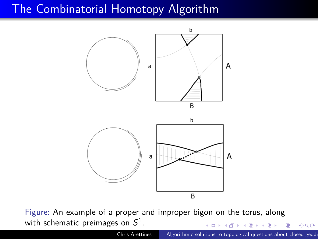



 $\begin{aligned} \mathbf{A} \in \mathbb{R} \times \mathbb{R} \rightarrow \mathbb{R} \times \mathbb{R} \times \mathbb{R} \times \mathbb{R} \times \mathbb{R} \times \mathbb{R} \times \mathbb{R} \times \mathbb{R} \times \mathbb{R} \times \mathbb{R} \times \mathbb{R} \times \mathbb{R} \times \mathbb{R} \times \mathbb{R} \times \mathbb{R} \times \mathbb{R} \times \mathbb{R} \times \mathbb{R} \times \mathbb{R} \times \mathbb{R} \times \mathbb{R} \times \mathbb{R} \times \mathbb{R} \times \mathbb{R} \$ Figure: An example of a proper and improper bigon on the torus, along with schematic preimages on  $S^1.$ 

| . כי ייס בס            | - イロ ト イ門 ト イ ヨ ト イ ヨ ト ニ ヨー イ) Q (*・                             |
|------------------------|-------------------------------------------------------------------|
| <b>Chris Arettines</b> | Algorithmic solutions to topological questions about closed geode |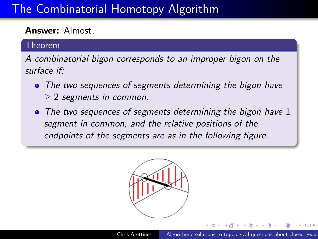## The Combinatorial Homotopy Algorithm

### **Answer:** Almost.

#### Theorem

A combinatorial bigon corresponds to an improper bigon on the surface if:

- The two sequences of segments determining the bigon have *≥* 2 segments in common.
- The two sequences of segments determining the bigon have 1 segment in common, and the relative positions of the endpoints of the segments are as in the following figure.



. .

 $2QQ$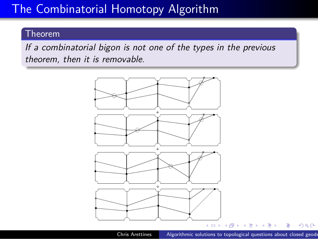## The Combinatorial Homotopy Algorithm

### Theorem

If a combinatorial bigon is not one of the types in the previous theorem, then it is removable.

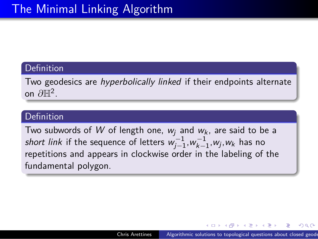### Definition

Two geodesics are hyperbolically linked if their endpoints alternate on *∂*H<sup>2</sup> .

### **Definition**

Two subwords of  $W$  of length one,  $w_j$  and  $w_k$ , are said to be a short link if the sequence of letters  $w_{j-1}^{-1}, w_{k-1}^{-1}, w_j, w_k$  has no repetitions and appears in clockwise order in the labeling of the fundamental polygon.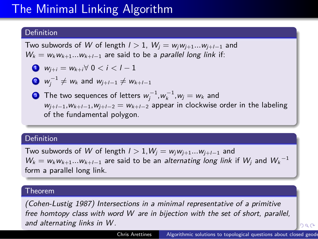#### Definition

Two subwords of W of length  $l > 1$ ,  $W_j = w_j w_{j+1} ... w_{j+l-1}$  and  $W_k = w_k w_{k+1} ... w_{k+l-1}$  are said to be a *parallel long link* if:

$$
\bullet \quad w_{j+i} = w_{k+i} \forall \ 0 < i < l-1
$$

2  $w_j^{-1}$  ≠  $w_k$  and  $w_{j+l-1}$  ≠  $w_{k+l-1}$ 

**3** The two sequences of letters  $w_j^{-1}, w_k^{-1}, w_j = w_k$  and wj+l*−*<sup>1</sup>,wk+l*−*<sup>1</sup>,wj+l*−*<sup>2</sup> = wk+l*−*<sup>2</sup> appear in clockwise order in the labeling of the fundamental polygon.

#### Definition

Two subwords of W of length l *>* 1,W<sup>j</sup> = wjwj+1*...*wj+l*−*<sup>1</sup> and  $W_k = w_k w_{k+1} ... w_{k+l-1}$  are said to be an *alternating long link* if  $W_j$  and  $W_k^{-1}$ form a parallel long link.

#### Theorem

(Cohen-Lustig 1987) Intersections in a minimal representative of a primitive free homtopy class with word W are in bijection with the set of short, parallel, and alternating links in W.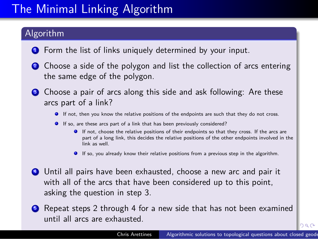#### Algorithm

- **1** Form the list of links uniquely determined by your input.
- <sup>2</sup> Choose a side of the polygon and list the collection of arcs entering the same edge of the polygon.
- Choose a pair of arcs along this side and ask following: Are these arcs part of a link?
	- **If not, then you know the relative positions of the endpoints are such that they do not cross.**
	- If so, are these arcs part of a link that has been previously considered?
		- If not, choose the relative positions of their endpoints so that they cross. If the arcs are part of a long link, this decides the relative positions of the other endpoints involved in the link as well.
		- If so, you already know their relative positions from a previous step in the algorithm.
- <sup>4</sup> Until all pairs have been exhausted, choose a new arc and pair it with all of the arcs that have been considered up to this point, asking the question in step 3.
- **6** Repeat steps 2 through 4 for a new side that has not been examined until all arcs are exhausted.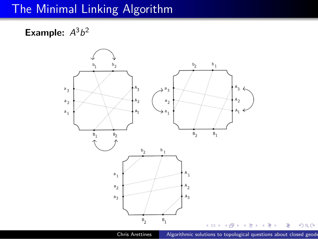**Example:**  $A^3b^2$ 

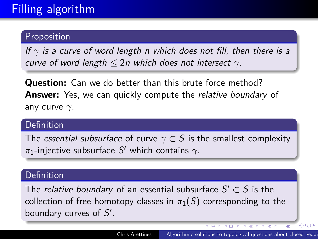### Proposition

If  $\gamma$  is a curve of word length n which does not fill, then there is a curve of word length *≤* 2n which does not intersect *γ*.

**Question:** Can we do better than this brute force method? **Answer:** Yes, we can quickly compute the relative boundary of any curve *γ*.

### **Definition**

The essential subsurface of curve  $\gamma \subset S$  is the smallest complexity *π*1-injective subsurface S *′* which contains *γ*.

### Definition

The relative boundary of an essential subsurface S *′ ⊂* S is the collection of free homotopy classes in  $\pi_1(S)$  corresponding to the boundary curves of S *′* .

. . . . . . . . . .

. . . .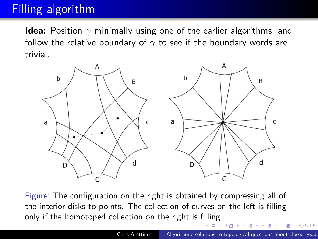**Idea:** Position *γ* minimally using one of the earlier algorithms, and follow the relative boundary of *γ* to see if the boundary words are trivial.



. . . only if the homotoped collection on the right is filling. Figure: The configuration on the right is obtained by compressing all of the interior disks to points. The collection of curves on the left is filling

. .  $\sigma$  $\mathbb{R} \times \mathcal{A} \mathbb{R} \times$ . .  $2QQ$ utions to topological questions about closed geod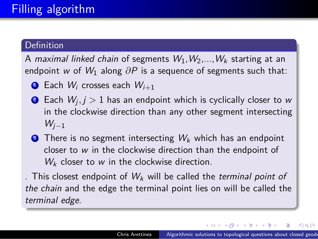#### Definition

A maximal linked chain of segments  $W_1, W_2,...,W_k$  starting at an endpoint w of W<sub>1</sub> along  $\partial P$  is a sequence of segments such that:

- **1** Each  $W_i$  crosses each  $W_{i+1}$
- $\bullet$  Each  $W_j, j > 1$  has an endpoint which is cyclically closer to w in the clockwise direction than any other segment intersecting Wj*−*<sup>1</sup>
- **3** There is no segment intersecting  $W_k$  which has an endpoint closer to w in the clockwise direction than the endpoint of  $W_k$  closer to  $w$  in the clockwise direction.

. This closest endpoint of  $W_k$  will be called the terminal point of the chain and the edge the terminal point lies on will be called the terminal edge.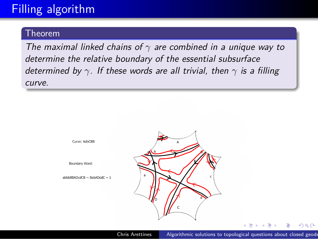### Theorem

The maximal linked chains of *γ* are combined in a unique way to determine the relative boundary of the essential subsurface determined by *γ*. If these words are all trivial, then *γ* is a filling curve.

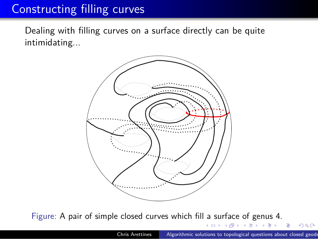Dealing with filling curves on a surface directly can be quite intimidating...



Figure: A pair of simple closed curves which fill a surface of genus 4.

 $\Box \rightarrow \neg \bigoplus \rightarrow \neg \bigoplus \rightarrow \neg \bigoplus \rightarrow \neg \bigoplus \rightarrow \neg \bigoplus$  $2QQ$ solutions to topological questions about closed geode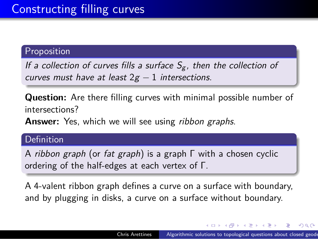### Proposition

If a collection of curves fills a surface  $S_g$ , then the collection of curves must have at least 2g *−* 1 intersections.

**Question:** Are there filling curves with minimal possible number of intersections?

Answer: Yes, which we will see using ribbon graphs.

### Definition

A ribbon graph (or fat graph) is a graph Γ with a chosen cyclic ordering of the half-edges at each vertex of Γ.

A 4-valent ribbon graph defines a curve on a surface with boundary, and by plugging in disks, a curve on a surface without boundary.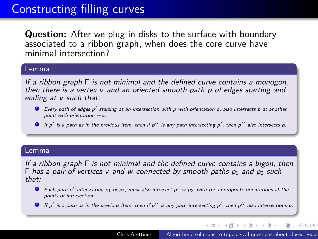**Question:** After we plug in disks to the surface with boundary associated to a ribbon graph, when does the core curve have minimal intersection?

#### Lemma

If a ribbon graph Γ is not minimal and the defined curve contains a monogon, then there is a vertex v and an oriented smooth path p of edges starting and ending at v such that:

- Every path of edges p<sup>'</sup> starting at an intersection with p with orientation o, also intersects p at another point with orientation *−*o.
- If p*′* is a path as in the previous item, then if p*′′* is any path intersecting p*′* , then p*′′* also intersects p.

#### Lemma

If a ribbon graph Γ is not minimal and the defined curve contains a bigon, then Γ has a pair of vertices v and w connected by smooth paths  $p_1$  and  $p_2$  such that:

- Each path p<sup>'</sup> intersecting  $p_1$  or  $p_2$ , must also intersect  $p_1$  or  $p_2$ , with the appropriate orientations at the points of intersection.
- If p*′* is a path as in the previous item, then if p*′′* is any path intersecting p*′* , then p*′′* also intersections p.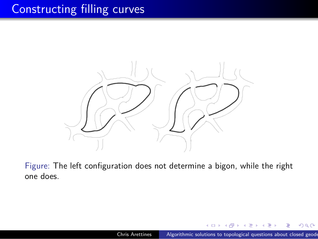

Figure: The left configuration does not determine a bigon, while the right one does.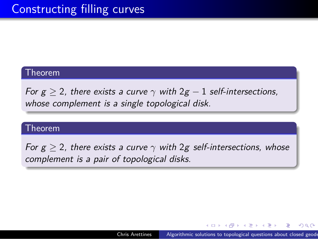### Theorem

For  $g \ge 2$ , there exists a curve  $\gamma$  with  $2g - 1$  self-intersections, whose complement is a single topological disk.

### Theorem

For  $g \ge 2$ , there exists a curve  $\gamma$  with 2g self-intersections, whose complement is a pair of topological disks.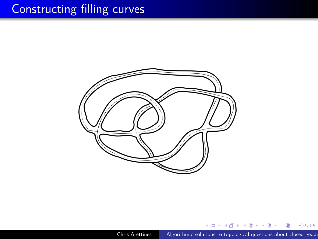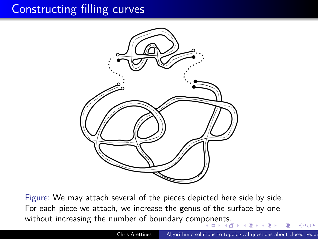

without increasing the number of boundary components.<br>Note that the set of boundary components. Figure: We may attach several of the pieces depicted here side by side. For each piece we attach, we increase the genus of the surface by one

.  $\begin{array}{ccccc} \Xi & \rightarrow & \Xi & \curvearrowleft \mathfrak{A} \; \mathbb{Q} \end{array}$ Chris Arettines **Algorithmic solutions to topological questions about closed geode**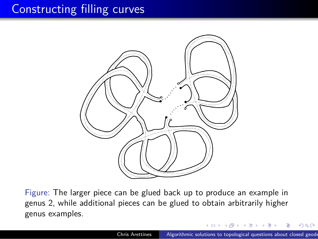

Figure: The larger piece can be glued back up to produce an example in genus 2, while additional pieces can be glued to obtain arbitrarily higher genus examples.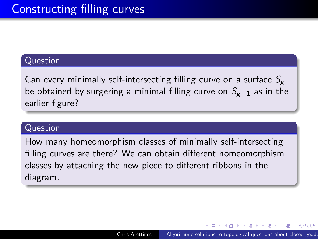### Question

Can every minimally self-intersecting filling curve on a surface  $S_{\rm g}$ be obtained by surgering a minimal filling curve on Sg*−*<sup>1</sup> as in the earlier figure?

### Question

How many homeomorphism classes of minimally self-intersecting filling curves are there? We can obtain different homeomorphism classes by attaching the new piece to different ribbons in the diagram.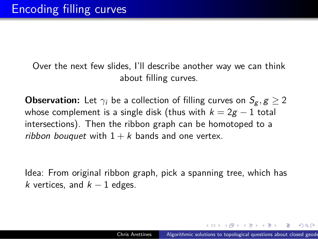Over the next few slides, I'll describe another way we can think about filling curves.

**Observation:** Let  $\gamma_i$  be a collection of filling curves on  $S_g$ ,  $g \geq 2$ whose complement is a single disk (thus with  $k = 2g - 1$  total intersections). Then the ribbon graph can be homotoped to a ribbon bouquet with  $1 + k$  bands and one vertex.

Idea: From original ribbon graph, pick a spanning tree, which has k vertices, and k *−* 1 edges.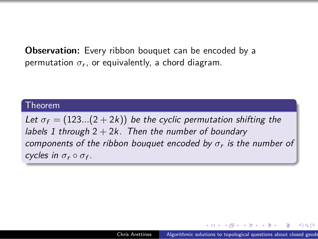**Observation:** Every ribbon bouquet can be encoded by a  $p$ ermutation  $\sigma_r$ , or equivalently, a chord diagram.

### Theorem

Let  $\sigma_f = (123...(2 + 2k))$  be the cyclic permutation shifting the labels 1 through  $2 + 2k$ . Then the number of boundary components of the ribbon bouquet encoded by *σ*<sup>r</sup> is the number of cycles in  $\sigma_r \circ \sigma_f$ .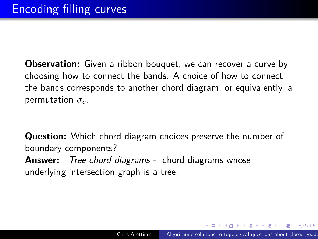**Observation:** Given a ribbon bouquet, we can recover a curve by choosing how to connect the bands. A choice of how to connect the bands corresponds to another chord diagram, or equivalently, a permutation  $\sigma_c$ .

**Question:** Which chord diagram choices preserve the number of boundary components? **Answer:** Tree chord diagrams - chord diagrams whose underlying intersection graph is a tree.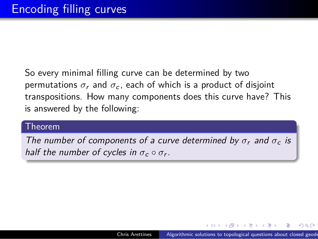So every minimal filling curve can be determined by two permutations  $\sigma_r$  and  $\sigma_c$ , each of which is a product of disjoint transpositions. How many components does this curve have? This is answered by the following:

### Theorem

The number of components of a curve determined by  $\sigma_r$  and  $\sigma_c$  is half the number of cycles in  $\sigma_c \circ \sigma_r$ .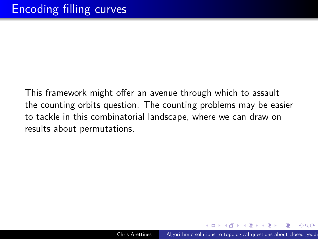This framework might offer an avenue through which to assault the counting orbits question. The counting problems may be easier to tackle in this combinatorial landscape, where we can draw on results about permutations.